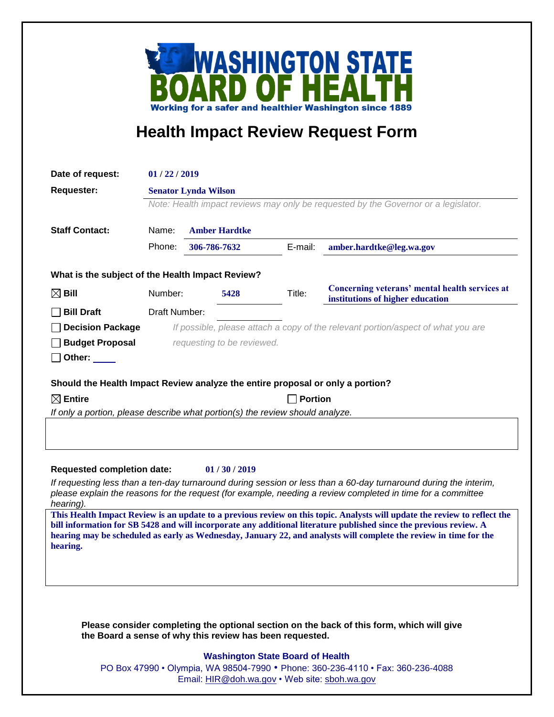

## **Health Impact Review Request Form**

| Date of request:                                                                                                                                      | 01/22/2019                                                                         |                            |         |                                                                                    |
|-------------------------------------------------------------------------------------------------------------------------------------------------------|------------------------------------------------------------------------------------|----------------------------|---------|------------------------------------------------------------------------------------|
| <b>Requester:</b>                                                                                                                                     | <b>Senator Lynda Wilson</b>                                                        |                            |         |                                                                                    |
|                                                                                                                                                       | Note: Health impact reviews may only be requested by the Governor or a legislator. |                            |         |                                                                                    |
|                                                                                                                                                       |                                                                                    |                            |         |                                                                                    |
| <b>Staff Contact:</b>                                                                                                                                 | Name:                                                                              | <b>Amber Hardtke</b>       |         |                                                                                    |
|                                                                                                                                                       | Phone:                                                                             | 306-786-7632               | E-mail: | amber.hardtke@leg.wa.gov                                                           |
| What is the subject of the Health Impact Review?                                                                                                      |                                                                                    |                            |         |                                                                                    |
| $\boxtimes$ Bill                                                                                                                                      | Number:                                                                            | 5428                       | Title:  | Concerning veterans' mental health services at<br>institutions of higher education |
| <b>Bill Draft</b>                                                                                                                                     | Draft Number:                                                                      |                            |         |                                                                                    |
| <b>Decision Package</b>                                                                                                                               |                                                                                    |                            |         | If possible, please attach a copy of the relevant portion/aspect of what you are   |
| <b>Budget Proposal</b>                                                                                                                                |                                                                                    | requesting to be reviewed. |         |                                                                                    |
| Other: $\_\_$                                                                                                                                         |                                                                                    |                            |         |                                                                                    |
| Should the Health Impact Review analyze the entire proposal or only a portion?                                                                        |                                                                                    |                            |         |                                                                                    |
| $\boxtimes$ Entire<br><b>Portion</b>                                                                                                                  |                                                                                    |                            |         |                                                                                    |
| If only a portion, please describe what portion(s) the review should analyze.                                                                         |                                                                                    |                            |         |                                                                                    |
|                                                                                                                                                       |                                                                                    |                            |         |                                                                                    |
|                                                                                                                                                       |                                                                                    |                            |         |                                                                                    |
| <b>Requested completion date:</b><br>01/30/2019                                                                                                       |                                                                                    |                            |         |                                                                                    |
| If requesting less than a ten-day turnaround during session or less than a 60-day turnaround during the interim,                                      |                                                                                    |                            |         |                                                                                    |
| please explain the reasons for the request (for example, needing a review completed in time for a committee                                           |                                                                                    |                            |         |                                                                                    |
| hearing).<br>This Health Impact Review is an update to a previous review on this topic. Analysts will update the review to reflect the                |                                                                                    |                            |         |                                                                                    |
| bill information for SB 5428 and will incorporate any additional literature published since the previous review. A                                    |                                                                                    |                            |         |                                                                                    |
| hearing may be scheduled as early as Wednesday, January 22, and analysts will complete the review in time for the<br>hearing.                         |                                                                                    |                            |         |                                                                                    |
|                                                                                                                                                       |                                                                                    |                            |         |                                                                                    |
|                                                                                                                                                       |                                                                                    |                            |         |                                                                                    |
|                                                                                                                                                       |                                                                                    |                            |         |                                                                                    |
|                                                                                                                                                       |                                                                                    |                            |         |                                                                                    |
| Please consider completing the optional section on the back of this form, which will give<br>the Board a sense of why this review has been requested. |                                                                                    |                            |         |                                                                                    |
| <b>Washington State Board of Health</b>                                                                                                               |                                                                                    |                            |         |                                                                                    |
|                                                                                                                                                       |                                                                                    |                            |         |                                                                                    |

PO Box 47990 • Olympia, WA 98504-7990 • Phone: 360-236-4110 • Fax: 360-236-4088 Email: [HIR@doh.wa.gov](mailto:HIR@doh.wa.gov) • Web site: [sboh.wa.gov](http://www.sboh.wa.gov/hdcouncil/)